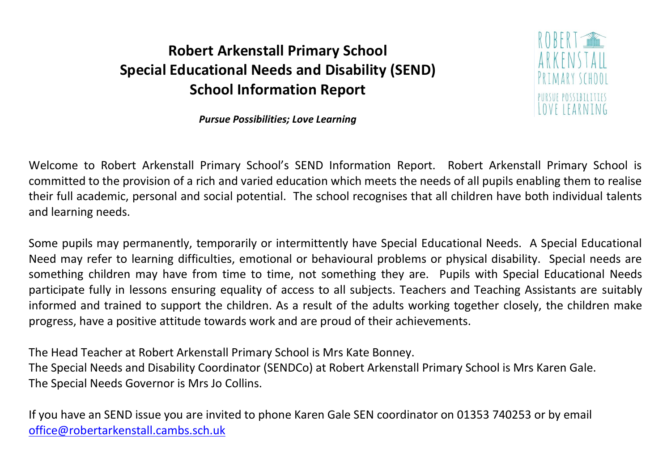## **Robert Arkenstall Primary School Special Educational Needs and Disability (SEND) School Information Report**



*Pursue Possibilities; Love Learning* 

Welcome to Robert Arkenstall Primary School's SEND Information Report. Robert Arkenstall Primary School is committed to the provision of a rich and varied education which meets the needs of all pupils enabling them to realise their full academic, personal and social potential. The school recognises that all children have both individual talents and learning needs.

Some pupils may permanently, temporarily or intermittently have Special Educational Needs. A Special Educational Need may refer to learning difficulties, emotional or behavioural problems or physical disability. Special needs are something children may have from time to time, not something they are. Pupils with Special Educational Needs participate fully in lessons ensuring equality of access to all subjects. Teachers and Teaching Assistants are suitably informed and trained to support the children. As a result of the adults working together closely, the children make progress, have a positive attitude towards work and are proud of their achievements.

The Head Teacher at Robert Arkenstall Primary School is Mrs Kate Bonney. The Special Needs and Disability Coordinator (SENDCo) at Robert Arkenstall Primary School is Mrs Karen Gale. The Special Needs Governor is Mrs Jo Collins.

If you have an SEND issue you are invited to phone Karen Gale SEN coordinator on 01353 740253 or by email [office@robertarkenstall.cambs.sch.uk](mailto:office@robertarkenstall.cambs.sch.uk)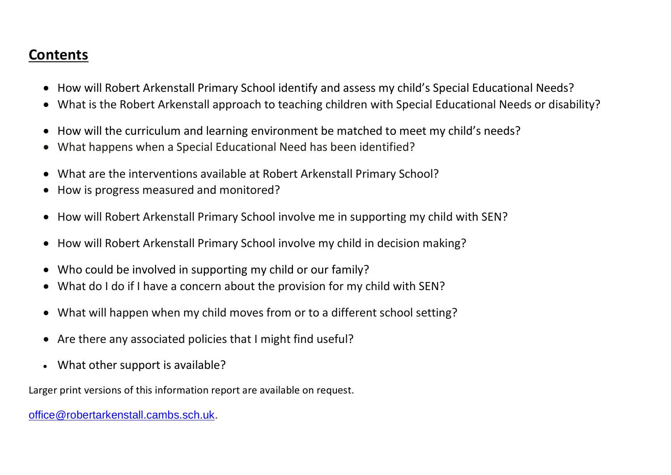## **Contents**

- How will Robert Arkenstall Primary School identify and assess my child's Special Educational Needs?
- What is the Robert Arkenstall approach to teaching children with Special Educational Needs or disability?
- How will the curriculum and learning environment be matched to meet my child's needs?
- What happens when a Special Educational Need has been identified?
- What are the interventions available at Robert Arkenstall Primary School?
- How is progress measured and monitored?
- How will Robert Arkenstall Primary School involve me in supporting my child with SEN?
- How will Robert Arkenstall Primary School involve my child in decision making?
- Who could be involved in supporting my child or our family?
- What do I do if I have a concern about the provision for my child with SEN?
- What will happen when my child moves from or to a different school setting?
- Are there any associated policies that I might find useful?
- What other support is available?

Larger print versions of this information report are available on request.

[office@robertarkenstall.cambs.sch.uk.](mailto:office@robertarkenstall.cambs.sch.uk)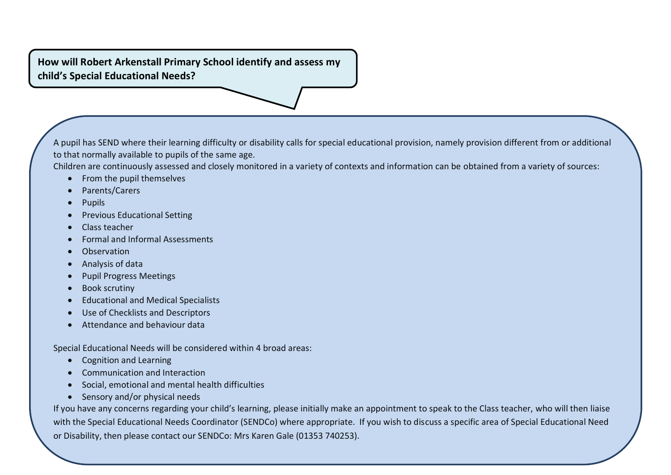**How will Robert Arkenstall Primary School identify and assess my child's Special Educational Needs?**

A pupil has SEND where their learning difficulty or disability calls for special educational provision, namely provision different from or additional to that normally available to pupils of the same age.

Children are continuously assessed and closely monitored in a variety of contexts and information can be obtained from a variety of sources:

- From the pupil themselves
- Parents/Carers
- Pupils
- Previous Educational Setting
- Class teacher
- Formal and Informal Assessments
- **•** Observation
- Analysis of data
- Pupil Progress Meetings
- Book scrutiny
- Educational and Medical Specialists
- Use of Checklists and Descriptors
- Attendance and behaviour data

Special Educational Needs will be considered within 4 broad areas:

- Cognition and Learning
- Communication and Interaction
- Social, emotional and mental health difficulties
- Sensory and/or physical needs

If you have any concerns regarding your child's learning, please initially make an appointment to speak to the Class teacher, who will then liaise with the Special Educational Needs Coordinator (SENDCo) where appropriate. If you wish to discuss a specific area of Special Educational Need or Disability, then please contact our SENDCo: Mrs Karen Gale (01353 740253).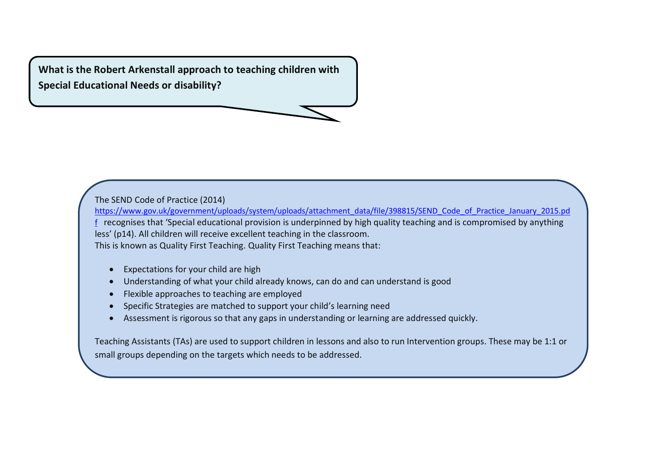**What is the Robert Arkenstall approach to teaching children with Special Educational Needs or disability?**

The SEND Code of Practice (2014)

[https://www.gov.uk/government/uploads/system/uploads/attachment\\_data/file/398815/SEND\\_Code\\_of\\_Practice\\_January\\_2015.pd](https://www.gov.uk/government/uploads/system/uploads/attachment_data/file/398815/SEND_Code_of_Practice_January_2015.pdf) [f](https://www.gov.uk/government/uploads/system/uploads/attachment_data/file/398815/SEND_Code_of_Practice_January_2015.pdf) recognises that 'Special educational provision is underpinned by high quality teaching and is compromised by anything less' (p14). All children will receive excellent teaching in the classroom. This is known as Quality First Teaching. Quality First Teaching means that:

- Expectations for your child are high
- Understanding of what your child already knows, can do and can understand is good
- Flexible approaches to teaching are employed
- Specific Strategies are matched to support your child's learning need
- Assessment is rigorous so that any gaps in understanding or learning are addressed quickly.

Teaching Assistants (TAs) are used to support children in lessons and also to run Intervention groups. These may be 1:1 or small groups depending on the targets which needs to be addressed.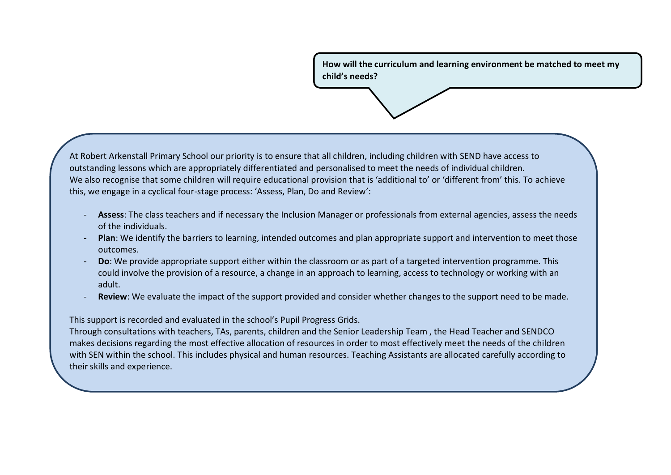**How will the curriculum and learning environment be matched to meet my child's needs?** 

At Robert Arkenstall Primary School our priority is to ensure that all children, including children with SEND have access to outstanding lessons which are appropriately differentiated and personalised to meet the needs of individual children. We also recognise that some children will require educational provision that is 'additional to' or 'different from' this. To achieve this, we engage in a cyclical four-stage process: 'Assess, Plan, Do and Review':

- **Assess**: The class teachers and if necessary the Inclusion Manager or professionals from external agencies, assess the needs of the individuals.
- **Plan**: We identify the barriers to learning, intended outcomes and plan appropriate support and intervention to meet those outcomes.
- **Do**: We provide appropriate support either within the classroom or as part of a targeted intervention programme. This could involve the provision of a resource, a change in an approach to learning, access to technology or working with an adult.
- **Review**: We evaluate the impact of the support provided and consider whether changes to the support need to be made.

This support is recorded and evaluated in the school's Pupil Progress Grids.

Through consultations with teachers, TAs, parents, children and the Senior Leadership Team , the Head Teacher and SENDCO makes decisions regarding the most effective allocation of resources in order to most effectively meet the needs of the children with SEN within the school. This includes physical and human resources. Teaching Assistants are allocated carefully according to their skills and experience.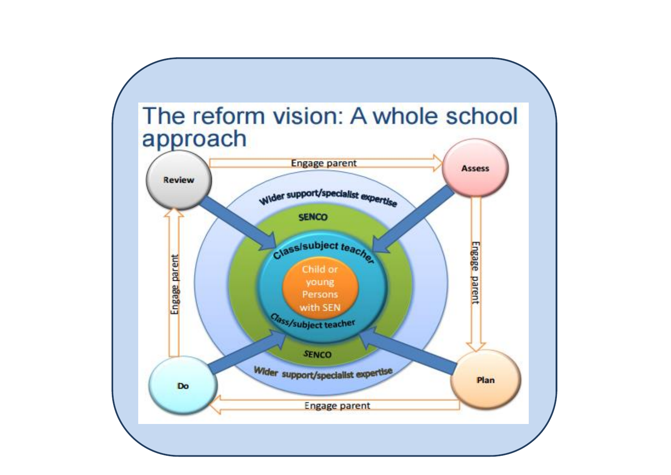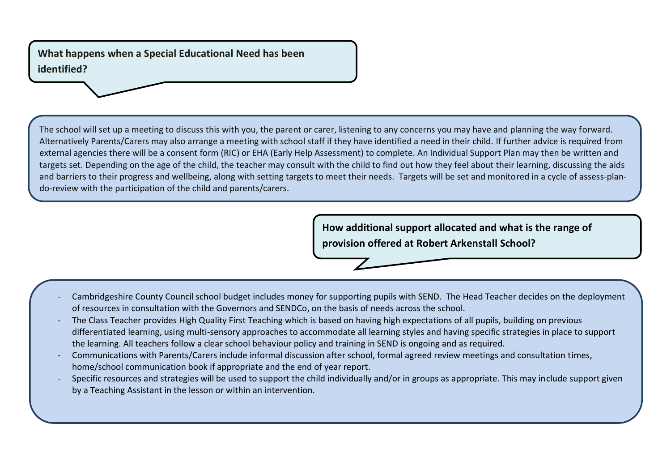**What happens when a Special Educational Need has been identified?**

The school will set up a meeting to discuss this with you, the parent or carer, listening to any concerns you may have and planning the way forward. Alternatively Parents/Carers may also arrange a meeting with school staff if they have identified a need in their child. If further advice is required from external agencies there will be a consent form (RIC) or EHA (Early Help Assessment) to complete. An Individual Support Plan may then be written and targets set. Depending on the age of the child, the teacher may consult with the child to find out how they feel about their learning, discussing the aids and barriers to their progress and wellbeing, along with setting targets to meet their needs. Targets will be set and monitored in a cycle of assess-plando-review with the participation of the child and parents/carers.

> **How additional support allocated and what is the range of provision offered at Robert Arkenstall School?**

- Cambridgeshire County Council school budget includes money for supporting pupils with SEND. The Head Teacher decides on the deployment of resources in consultation with the Governors and SENDCo, on the basis of needs across the school.
- The Class Teacher provides High Quality First Teaching which is based on having high expectations of all pupils, building on previous differentiated learning, using multi-sensory approaches to accommodate all learning styles and having specific strategies in place to support the learning. All teachers follow a clear school behaviour policy and training in SEND is ongoing and as required.
- Communications with Parents/Carers include informal discussion after school, formal agreed review meetings and consultation times, home/school communication book if appropriate and the end of year report.
- Specific resources and strategies will be used to support the child individually and/or in groups as appropriate. This may include support given by a Teaching Assistant in the lesson or within an intervention.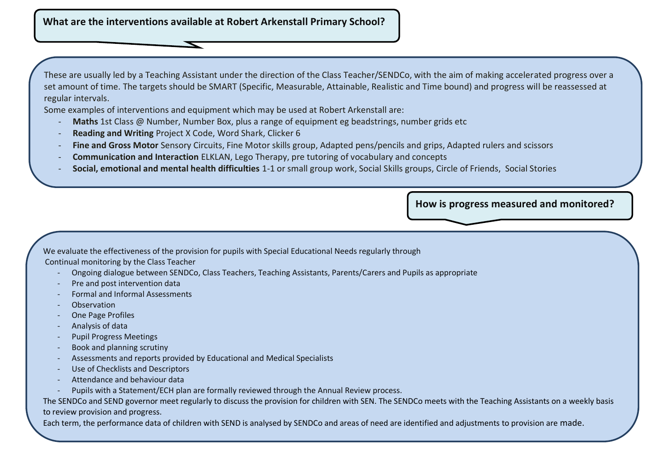**What are the interventions available at Robert Arkenstall Primary School?**

These are usually led by a Teaching Assistant under the direction of the Class Teacher/SENDCo, with the aim of making accelerated progress over a set amount of time. The targets should be SMART (Specific, Measurable, Attainable, Realistic and Time bound) and progress will be reassessed at regular intervals.

Some examples of interventions and equipment which may be used at Robert Arkenstall are:

- **Maths** 1st Class @ Number, Number Box, plus a range of equipment eg beadstrings, number grids etc
- **Reading and Writing** Project X Code, Word Shark, Clicker 6
- **Fine and Gross Motor** Sensory Circuits, Fine Motor skills group, Adapted pens/pencils and grips, Adapted rulers and scissors
- **Communication and Interaction** ELKLAN, Lego Therapy, pre tutoring of vocabulary and concepts
- **Social, emotional and mental health difficulties** 1-1 or small group work, Social Skills groups, Circle of Friends, Social Stories

**How is progress measured and monitored?**

We evaluate the effectiveness of the provision for pupils with Special Educational Needs regularly through

Continual monitoring by the Class Teacher

- Ongoing dialogue between SENDCo, Class Teachers, Teaching Assistants, Parents/Carers and Pupils as appropriate
- Pre and post intervention data
- Formal and Informal Assessments
- **Observation**
- One Page Profiles
- Analysis of data
- Pupil Progress Meetings
- Book and planning scrutiny
- Assessments and reports provided by Educational and Medical Specialists
- Use of Checklists and Descriptors
- Attendance and behaviour data
- Pupils with a Statement/ECH plan are formally reviewed through the Annual Review process.

The SENDCo and SEND governor meet regularly to discuss the provision for children with SEN. The SENDCo meets with the Teaching Assistants on a weekly basis to review provision and progress.

Each term, the performance data of children with SEND is analysed by SENDCo and areas of need are identified and adjustments to provision are made.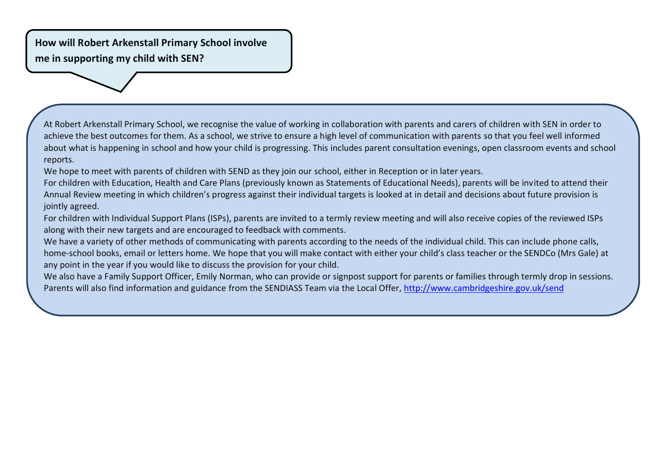**How will Robert Arkenstall Primary School involve me in supporting my child with SEN?**

At Robert Arkenstall Primary School, we recognise the value of working in collaboration with parents and carers of children with SEN in order to achieve the best outcomes for them. As a school, we strive to ensure a high level of communication with parents so that you feel well informed about what is happening in school and how your child is progressing. This includes parent consultation evenings, open classroom events and school reports.

We hope to meet with parents of children with SEND as they join our school, either in Reception or in later years.

For children with Education, Health and Care Plans (previously known as Statements of Educational Needs), parents will be invited to attend their Annual Review meeting in which children's progress against their individual targets is looked at in detail and decisions about future provision is jointly agreed.

For children with Individual Support Plans (ISPs), parents are invited to a termly review meeting and will also receive copies of the reviewed ISPs along with their new targets and are encouraged to feedback with comments.

We have a variety of other methods of communicating with parents according to the needs of the individual child. This can include phone calls, home-school books, email or letters home. We hope that you will make contact with either your child's class teacher or the SENDCo (Mrs Gale) at any point in the year if you would like to discuss the provision for your child.

We also have a Family Support Officer, Emily Norman, who can provide or signpost support for parents or families through termly drop in sessions. Parents will also find information and guidance from the SENDIASS Team via the Local Offer,<http://www.cambridgeshire.gov.uk/send>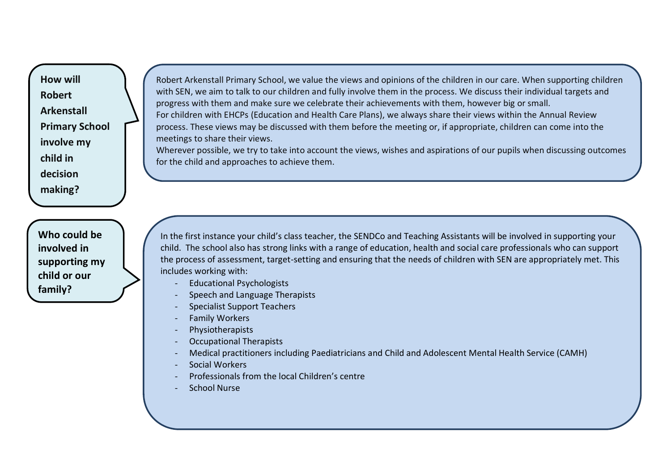**How will Robert Arkenstall Primary School involve my child in decision making?**

**Who could be involved in supporting my child or our family?** 

Robert Arkenstall Primary School, we value the views and opinions of the children in our care. When supporting children with SEN, we aim to talk to our children and fully involve them in the process. We discuss their individual targets and progress with them and make sure we celebrate their achievements with them, however big or small. For children with EHCPs (Education and Health Care Plans), we always share their views within the Annual Review process. These views may be discussed with them before the meeting or, if appropriate, children can come into the meetings to share their views.

Wherever possible, we try to take into account the views, wishes and aspirations of our pupils when discussing outcomes for the child and approaches to achieve them.

In the first instance your child's class teacher, the SENDCo and Teaching Assistants will be involved in supporting your child. The school also has strong links with a range of education, health and social care professionals who can support the process of assessment, target-setting and ensuring that the needs of children with SEN are appropriately met. This includes working with:

- Educational Psychologists
- Speech and Language Therapists
- Specialist Support Teachers
- Family Workers
- Physiotherapists
- Occupational Therapists
- Medical practitioners including Paediatricians and Child and Adolescent Mental Health Service (CAMH)
- Social Workers
- Professionals from the local Children's centre
- School Nurse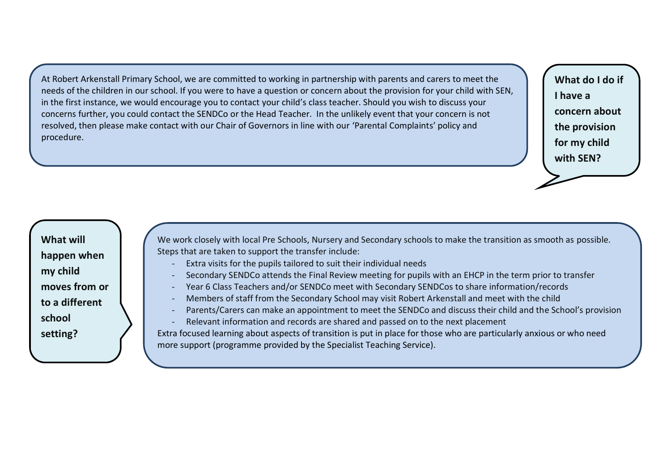At Robert Arkenstall Primary School, we are committed to working in partnership with parents and carers to meet the needs of the children in our school. If you were to have a question or concern about the provision for your child with SEN, in the first instance, we would encourage you to contact your child's class teacher. Should you wish to discuss your concerns further, you could contact the SENDCo or the Head Teacher. In the unlikely event that your concern is not resolved, then please make contact with our Chair of Governors in line with our 'Parental Complaints' policy and procedure.

**What do I do if I have a concern about the provision for my child with SEN?**

**What will happen when my child moves from or to a different school setting?** 

We work closely with local Pre Schools, Nursery and Secondary schools to make the transition as smooth as possible. Steps that are taken to support the transfer include:

- Extra visits for the pupils tailored to suit their individual needs
- Secondary SENDCo attends the Final Review meeting for pupils with an EHCP in the term prior to transfer
- Year 6 Class Teachers and/or SENDCo meet with Secondary SENDCos to share information/records
- Members of staff from the Secondary School may visit Robert Arkenstall and meet with the child
- Parents/Carers can make an appointment to meet the SENDCo and discuss their child and the School's provision
- Relevant information and records are shared and passed on to the next placement

Extra focused learning about aspects of transition is put in place for those who are particularly anxious or who need more support (programme provided by the Specialist Teaching Service).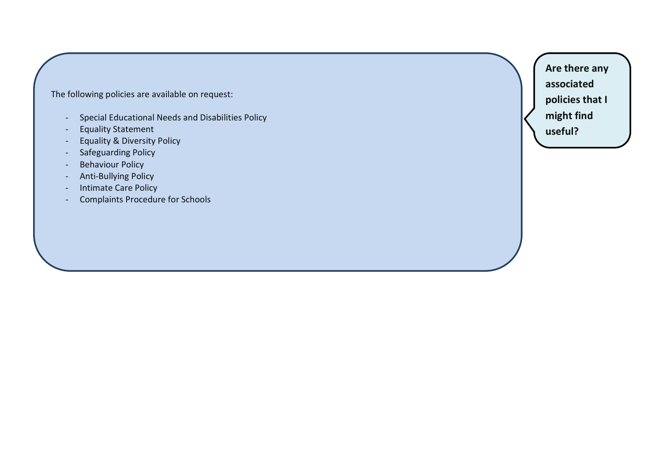The following policies are available on request:

- Special Educational Needs and Disabilities Policy
- Equality Statement
- Equality & Diversity Policy
- Safeguarding Policy
- Behaviour Policy
- Anti-Bullying Policy
- Intimate Care Policy
- Complaints Procedure for Schools

**Are there any associated policies that I might find useful?**